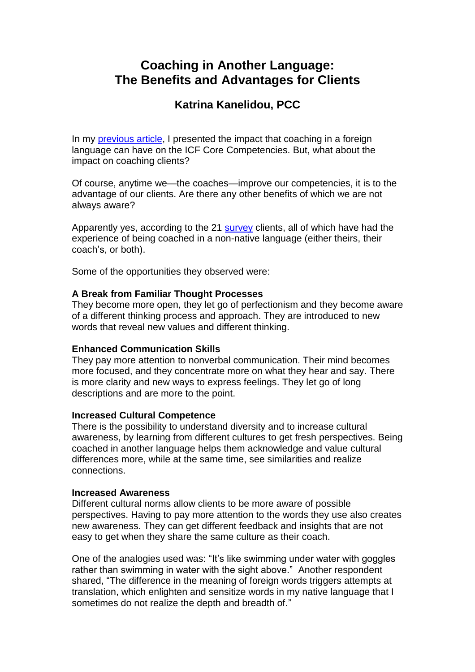# **Coaching in Another Language: The Benefits and Advantages for Clients**

## **Katrina Kanelidou, PCC**

In my **previous article**, I presented the impact that coaching in a foreign language can have on the ICF Core Competencies. But, what about the impact on coaching clients?

Of course, anytime we—the coaches—improve our competencies, it is to the advantage of our clients. Are there any other benefits of which we are not always aware?

Apparently yes, according to the 21 [survey](http://researchportal.coachfederation.org/MediaStream/PartialView?documentId=326) clients, all of which have had the experience of being coached in a non-native language (either theirs, their coach's, or both).

Some of the opportunities they observed were:

## **A Break from Familiar Thought Processes**

They become more open, they let go of perfectionism and they become aware of a different thinking process and approach. They are introduced to new words that reveal new values and different thinking.

## **Enhanced Communication Skills**

They pay more attention to nonverbal communication. Their mind becomes more focused, and they concentrate more on what they hear and say. There is more clarity and new ways to express feelings. They let go of long descriptions and are more to the point.

### **Increased Cultural Competence**

There is the possibility to understand diversity and to increase cultural awareness, by learning from different cultures to get fresh perspectives. Being coached in another language helps them acknowledge and value cultural differences more, while at the same time, see similarities and realize connections.

### **Increased Awareness**

Different cultural norms allow clients to be more aware of possible perspectives. Having to pay more attention to the words they use also creates new awareness. They can get different feedback and insights that are not easy to get when they share the same culture as their coach.

One of the analogies used was: "It's like swimming under water with goggles rather than swimming in water with the sight above." Another respondent shared, "The difference in the meaning of foreign words triggers attempts at translation, which enlighten and sensitize words in my native language that I sometimes do not realize the depth and breadth of."